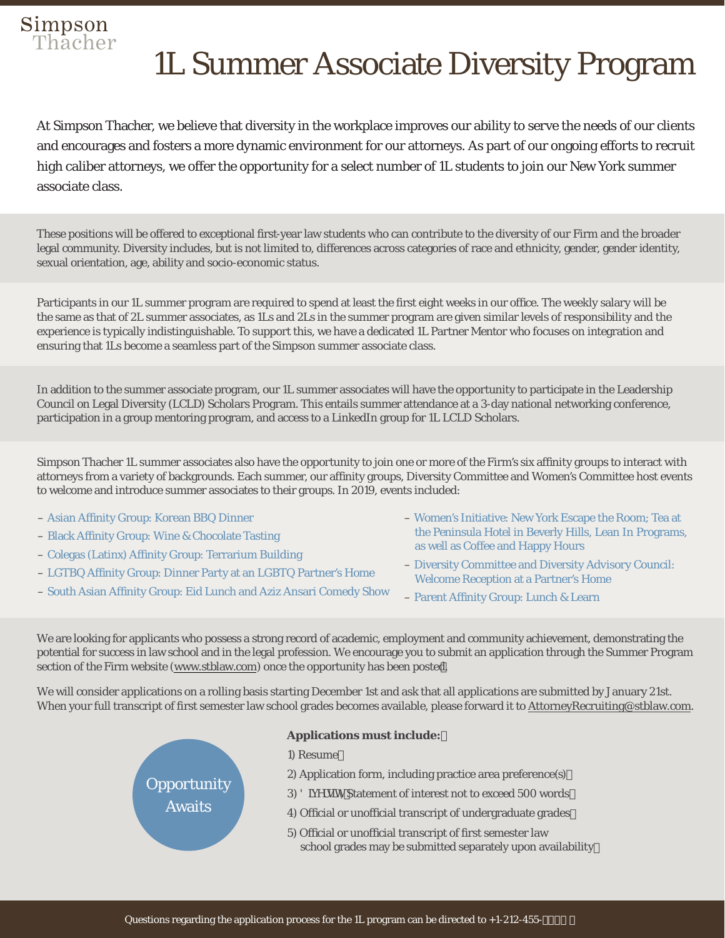# Simpson<br>Thacher

### 1L Summer Associate Diversity Program

At Simpson Thacher, we believe that diversity in the workplace improves our ability to serve the needs of our clients and encourages and fosters a more dynamic environment for our attorneys. As part of our ongoing efforts to recruit high caliber attorneys, we offer the opportunity for a select number of 1L students to join our New York summer associate class.

These positions will be offered to exceptional first-year law students who can contribute to the diversity of our Firm and the broader legal community. Diversity includes, but is not limited to, differences across categories of race and ethnicity, gender, gender identity, sexual orientation, age, ability and socio-economic status.

Participants in our 1L summer program are required to spend at least the first eight weeks in our office. The weekly salary will be the same as that of 2L summer associates, as 1Ls and 2Ls in the summer program are given similar levels of responsibility and the experience is typically indistinguishable. To support this, we have a dedicated 1L Partner Mentor who focuses on integration and ensuring that 1Ls become a seamless part of the Simpson summer associate class.

In addition to the summer associate program, our 1L summer associates will have the opportunity to participate in the Leadership Council on Legal Diversity (LCLD) Scholars Program. This entails summer attendance at a 3-day national networking conference, participation in a group mentoring program, and access to a LinkedIn group for 1L LCLD Scholars.

Simpson Thacher 1L summer associates also have the opportunity to join one or more of the Firm's six affinity groups to interact with attorneys from a variety of backgrounds. Each summer, our affinity groups, Diversity Committee and Women's Committee host events to welcome and introduce summer associates to their groups. In 2019, events included:

- Asian Affinity Group: Korean BBQ Dinner
- Black Affinity Group: Wine & Chocolate Tasting
- Colegas (Latinx) Affinity Group: Terrarium Building
- LGTBQ Affinity Group: Dinner Party at an LGBTQ Partner's Home

**Opportunity** Awaits

- South Asian Affinity Group: Eid Lunch and Aziz Ansari Comedy Show
- Women's Initiative: New York Escape the Room; Tea at the Peninsula Hotel in Beverly Hills, Lean In Programs, as well as Coffee and Happy Hours
- Diversity Committee and Diversity Advisory Council: Welcome Reception at a Partner's Home
- Parent Affinity Group: Lunch & Learn

We are looking for applicants who possess a strong record of academic, employment and community achievement, demonstrating the potential for success in law school and in the legal profession. We encourage you to submit an application through the Summer Program section of the Firm website (www.stblaw.com) [once the](https://www.stblaw.com) opportunity has been posted.

We will consider applications on a rolling basis starting December 1st and ask that all applications are submitted by January 21st. When your full transcript of first semester law school grades becomes available, please forward it to AttorneyRecruiting@stblaw.com.

#### **Applications must include:**

- 1) Resume
- 2) Application form, including practice area preference(s)
- 8]j **Yfg]mS**tatement of interest not to exceed 500 words '
- 4) Official or unofficial transcript of undergraduate grades 1) Resume<br>2) Application form, including practice area preference(s)<br>3) 8]j YfglmStatement of interest not to exceed 500 words<br>4) Official or unofficial transcript of undergraduate grades
	- school grades may be submitted separately upon availability 5) Official or unofficial transcript of first semester law